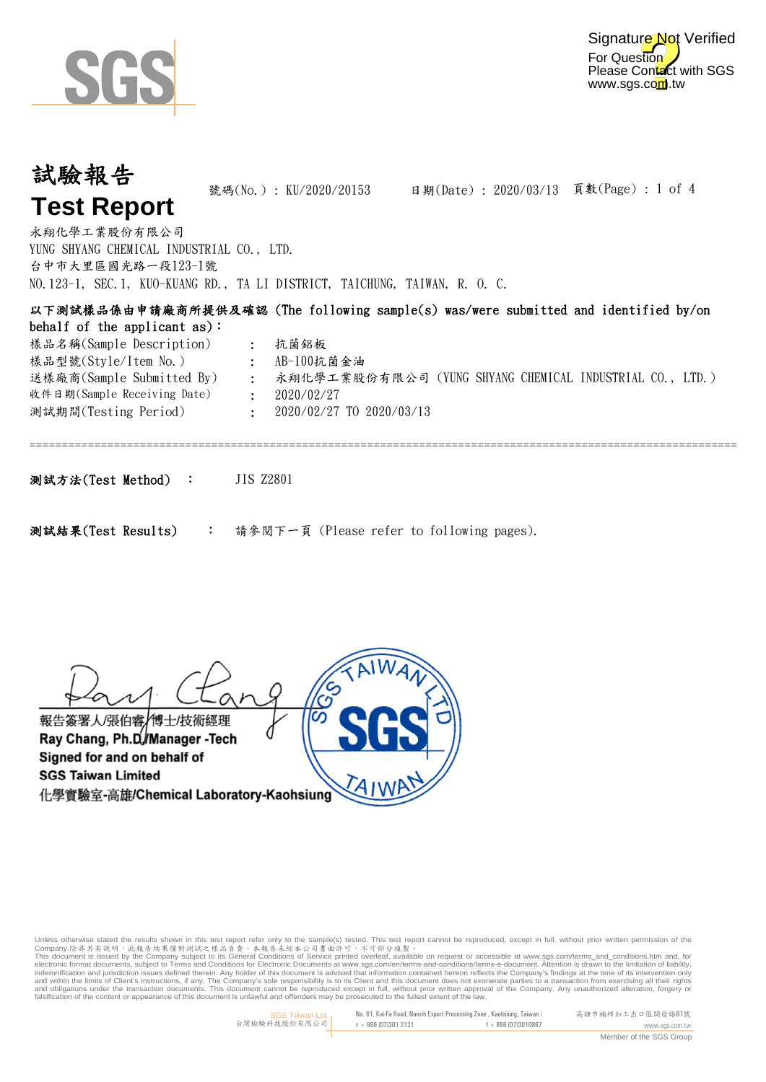

For Question Please Contact with SGS www.sgs.com.tw Signature Not Verified

## 試驗報告 **Test Report**

號碼(No.): KU/2020/20153

日期(Date): 2020/03/13 頁數(Page): 1 of 4

台中市大里區國光路一段123-1號 YUNG SHYANG CHEMICAL INDUSTRIAL CO., LTD. 永翔化學工業股份有限公司 NO.123-1, SEC.1, KUO-KUANG RD., TA LI DISTRICT, TAICHUNG, TAIWAN, R. O. C.

| 以下測試樣品係由申請廠商所提供及確認 (The following sample(s) was/were submitted and identified by/on |                |                                                          |  |
|-------------------------------------------------------------------------------------|----------------|----------------------------------------------------------|--|
| behalf of the applicant $as$ :                                                      |                |                                                          |  |
| 樣品名稱(Sample Description)                                                            |                | 抗菌鋁板                                                     |  |
| 樣品型號(Style/Item No.)                                                                | $\mathcal{L}$  | AB-100抗菌金油                                               |  |
| 送樣廠商(Sample Submitted By)                                                           | $\ddot{\cdot}$ | 永翔化學工業股份有限公司 (YUNG SHYANG CHEMICAL INDUSTRIAL CO., LTD.) |  |
| 收件日期(Sample Receiving Date)                                                         |                | 2020/02/27                                               |  |
| 測試期間(Testing Period)                                                                |                | 2020/02/27 TO 2020/03/13                                 |  |
|                                                                                     |                |                                                          |  |
|                                                                                     |                |                                                          |  |
|                                                                                     |                |                                                          |  |

測試方法(Test Method) : JIS Z2801

請參閱下一頁 (Please refer to following pages). 測試結果(Test Results) :

報告簽署人/張伯睿/博士/技術經理 Ray Chang, Ph.D./Manager -Tech Signed for and on behalf of **SGS Taiwan Limited** 化學實驗室-高雄/Chemical Laboratory-Kaohsiung

Unless otherwise stated the results shown in this test report refer only to the sample(s) tested. This test report cannot be reproduced, except in full, without prior written permission of the

Company.除非另有說明,此無告結果僅對測試之樣品負責。本報告未經本公司書面許可,不可部分複製。<br>This document is issued by the Company subject to its General Conditions for Service printed over each subject<br>electronic format documents, subject to Terms and Conditio falsification of the content or appearance of this document is unlawful and offenders may be prosecuted to the fullest extent of the law.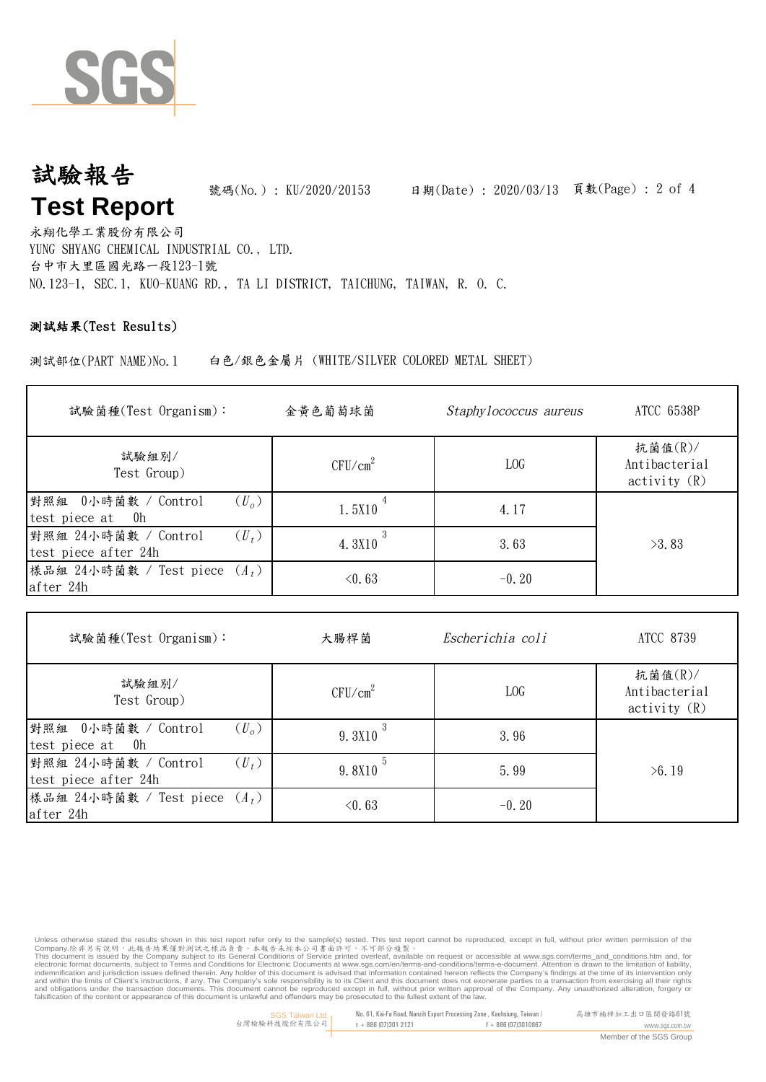

#### 號碼(No.) : KU/2020/20153 試驗報告 **Test Report**

日期(Date): 2020/03/13 頁數(Page): 2 of 4

台中市大里區國光路一段123-1號 YUNG SHYANG CHEMICAL INDUSTRIAL CO., LTD. 永翔化學工業股份有限公司 NO.123-1, SEC.1, KUO-KUANG RD., TA LI DISTRICT, TAICHUNG, TAIWAN, R. O. C.

#### 測試結果(Test Results)

測試部位(PART NAME)No.1 白色/銀色金屬片 (WHITE/SILVER COLORED METAL SHEET)

| 試驗菌種(Test Organism):                                    | 金黄色葡萄球菌             | Staphylococcus aureus | ATCC 6538P                                  |
|---------------------------------------------------------|---------------------|-----------------------|---------------------------------------------|
| 試驗組別/<br>Test Group)                                    | CFU/cm <sup>2</sup> | LOG                   | 抗菌值 $(R)$ /<br>Antibacterial<br>activity(R) |
| $(U_o)$<br>對照組 0小時菌數 / Control<br>0h<br>test piece at   | 1.5X10              | 4.17                  |                                             |
| 對照組 24小時菌數 / Control<br>$(U_t)$<br>test piece after 24h | 4.3X10              | 3.63                  | >3.83                                       |
| 樣品組 24小時菌數 / Test piece $(A_t)$<br>after 24h            | < 0.63              | $-0.20$               |                                             |

| 試驗菌種(Test Organism):                                         | 大腸桿菌                | Escherichia coli | <b>ATCC 8739</b>                            |  |
|--------------------------------------------------------------|---------------------|------------------|---------------------------------------------|--|
| 試驗組別/<br>Test Group)                                         | CFU/cm <sup>2</sup> | LOG              | 抗菌值 $(R)$ /<br>Antibacterial<br>activity(R) |  |
| 對照組 0小時菌數 / Control<br>$(U_{\alpha})$<br>test piece at<br>0h | 9.3X10              | 3.96             |                                             |  |
| 對照組 24小時菌數 / Control<br>$(U_t)$<br>test piece after 24h      | 9.8X10              | 5.99             | >6.19                                       |  |
| 樣品組 24小時菌數 / Test piece $(A_t)$<br>after 24h                 | $\leq 0.63$         | $-0.20$          |                                             |  |

Unless otherwise stated the results shown in this test report refer only to the sample(s) tested. This test report cannot be reproduced, except in full, without prior written permission of the

Company.除非另有說明,此無告結果僅對測試之樣品負責。本報告未經本公司書面許可,不可部分複製。<br>This document is issued by the Company subject to its General Conditions for Service printed over each subject<br>electronic format documents, subject to Terms and Conditio falsification of the content or appearance of this document is unlawful and offenders may be prosecuted to the fullest extent of the law.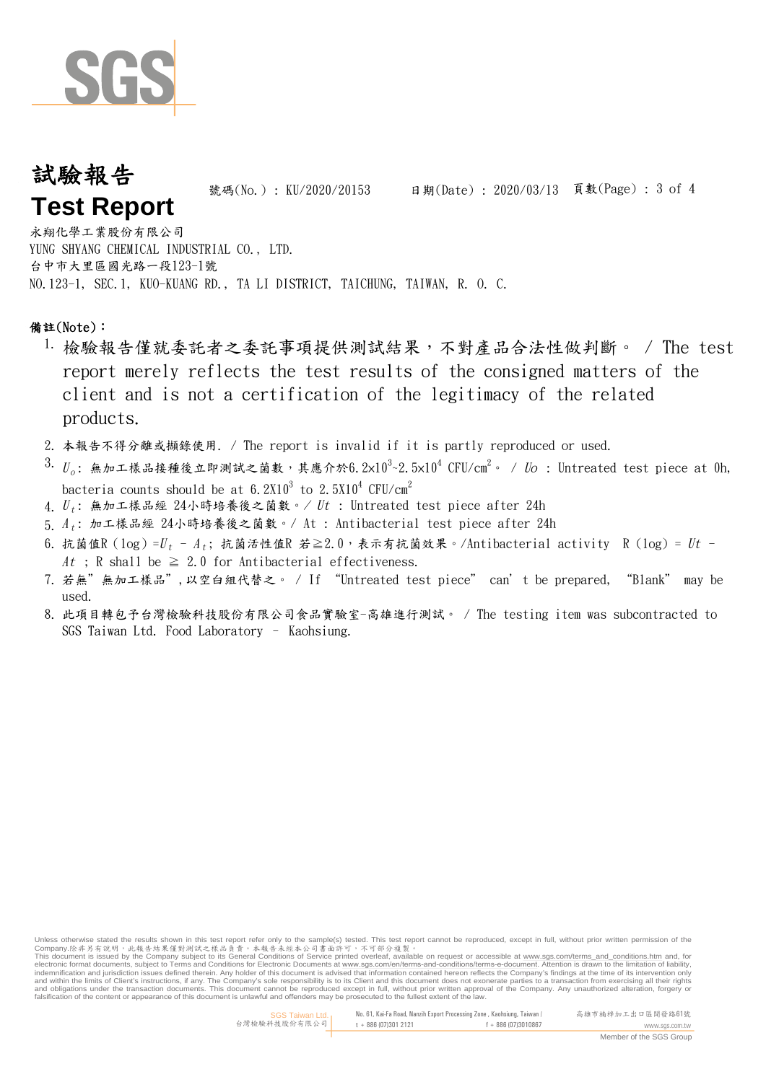

### 試驗報告 **Test Report**

號碼(No.) : KU/2020/20153 日期(Date) : 2020/03/13 頁數(Page) : 3 of 4

台中市大里區國光路一段123-1號 YUNG SHYANG CHEMICAL INDUSTRIAL CO., LTD. 永翔化學工業股份有限公司 NO.123-1, SEC.1, KUO-KUANG RD., TA LI DISTRICT, TAICHUNG, TAIWAN, R. O. C.

#### 備註(Note):

- 1. 檢驗報告僅就委託者之委託事項提供測試結果,不對產品合法性做判斷。 / The test report merely reflects the test results of the consigned matters of the client and is not a certification of the legitimacy of the related products.
- 2. 本報告不得分離或擷錄使用. / The report is invalid if it is partly reproduced or used.
- $^{\text{3.}}$   $U_o$ : 無加工樣品接種後立即測試之菌數,其應介於6.2×10<sup>3</sup>~2.5×10<sup>4</sup> CFU/cm<sup>2</sup>。 / *Uo* : Untreated test piece at Oh, bacteria counts should be at 6.2X10 $^3$  to 2.5X10 $^4$  CFU/cm $^2$
- 4.  ${U}_t$ : 無加工樣品經 24小時培養後之菌數。/  ${Ut}$  : Untreated test piece after 24h
- 5.  $\varLambda_t$ : 加工樣品經  $24$ 小時培養後之菌數。/ At : Antibacterial test piece after  $24\text{h}$
- 6. 抗菌值R(log)= $U_t$  A<sub>t</sub>; 抗菌活性值R 若≧2.0,表示有抗菌效果。/Antibacterial activity R(log)=  $Ut$  -At ; R shall be  $\geq 2.0$  for Antibacterial effectiveness.
- 7. 若無"無加工樣品",以空白組代替之。 / If "Untreated test piece" can't be prepared, "Blank" may be used.
- 8. 此項目轉包予台灣檢驗科技股份有限公司食品實驗室-高雄進行測試。 / The testing item was subcontracted to SGS Taiwan Ltd. Food Laboratory – Kaohsiung.

Unless otherwise stated the results shown in this test report refer only to the sample(s) tested. This test report cannot be reproduced, except in full, without prior written permission of the

Company.除非另有說明,此無告結果僅對測試之樣品負責。本報告未經本公司書面許可,不可部分複製。<br>This document is issued by the Company subject to its General Conditions for Service printed over each subject<br>electronic format documents, subject to Terms and Conditio falsification of the content or appearance of this document is unlawful and offenders may be prosecuted to the fullest extent of the law.

www.sgs.com.tw